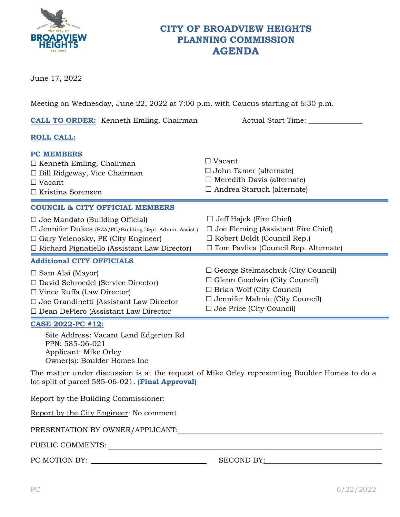

## **CITY OF BROADVIEW HEIGHTS PLANNING COMMISSION AGENDA**

June 17, 2022

Meeting on Wednesday, June 22, 2022 at 7:00 p.m. with Caucus starting at 6:30 p.m.

| <b>CALL TO ORDER:</b> Kenneth Emling, Chairman                                                                                                                                                             | Actual Start Time:                                                                                                                                                                              |  |  |  |  |  |
|------------------------------------------------------------------------------------------------------------------------------------------------------------------------------------------------------------|-------------------------------------------------------------------------------------------------------------------------------------------------------------------------------------------------|--|--|--|--|--|
| <b>ROLL CALL:</b>                                                                                                                                                                                          |                                                                                                                                                                                                 |  |  |  |  |  |
| <b>PC MEMBERS</b><br>$\Box$ Kenneth Emling, Chairman<br>$\Box$ Bill Ridgeway, Vice Chairman<br>$\Box$ Vacant<br>$\Box$ Kristina Sorensen                                                                   | $\Box$ Vacant<br>$\Box$ John Tamer (alternate)<br>$\Box$ Meredith Davis (alternate)<br>$\Box$ Andrea Staruch (alternate)                                                                        |  |  |  |  |  |
| <b>COUNCIL &amp; CITY OFFICIAL MEMBERS</b>                                                                                                                                                                 |                                                                                                                                                                                                 |  |  |  |  |  |
| $\Box$ Joe Mandato (Building Official)<br>□ Jennifer Dukes (BZA/PC/Building Dept. Admin. Assist.)<br>$\Box$ Gary Yelenosky, PE (City Engineer)<br>$\Box$ Richard Pignatiello (Assistant Law Director)      | $\Box$ Jeff Hajek (Fire Chief)<br>$\Box$ Joe Fleming (Assistant Fire Chief)<br>$\Box$ Robert Boldt (Council Rep.)<br>$\Box$ Tom Pavlica (Council Rep. Alternate)                                |  |  |  |  |  |
| <b>Additional CITY OFFICIALS</b>                                                                                                                                                                           |                                                                                                                                                                                                 |  |  |  |  |  |
| $\Box$ Sam Alai (Mayor)<br>$\Box$ David Schroedel (Service Director)<br>$\Box$ Vince Ruffa (Law Director)<br>$\Box$ Joe Grandinetti (Assistant Law Director<br>$\Box$ Dean DePiero (Assistant Law Director | $\Box$ George Stelmaschuk (City Council)<br>$\Box$ Glenn Goodwin (City Council)<br>$\Box$ Brian Wolf (City Council)<br>$\Box$ Jennifer Mahnic (City Council)<br>$\Box$ Joe Price (City Council) |  |  |  |  |  |
| <b>CASE 2022-PC #12:</b>                                                                                                                                                                                   |                                                                                                                                                                                                 |  |  |  |  |  |
| Site Address: Vacant Land Edgerton Rd<br>PPN: 585-06-021<br>Applicant: Mike Orley<br>Owner(s): Boulder Homes Inc                                                                                           |                                                                                                                                                                                                 |  |  |  |  |  |
| The matter under discussion is at the request of Mike Orley representing Boulder Homes to do a<br>lot split of parcel 585-06-021. (Final Approval)                                                         |                                                                                                                                                                                                 |  |  |  |  |  |
| Report by the Building Commissioner:<br>Report by the City Engineer: No comment                                                                                                                            |                                                                                                                                                                                                 |  |  |  |  |  |

PRESENTATION BY OWNER/APPLICANT:

PUBLIC COMMENTS:

PC MOTION BY: SECOND BY: